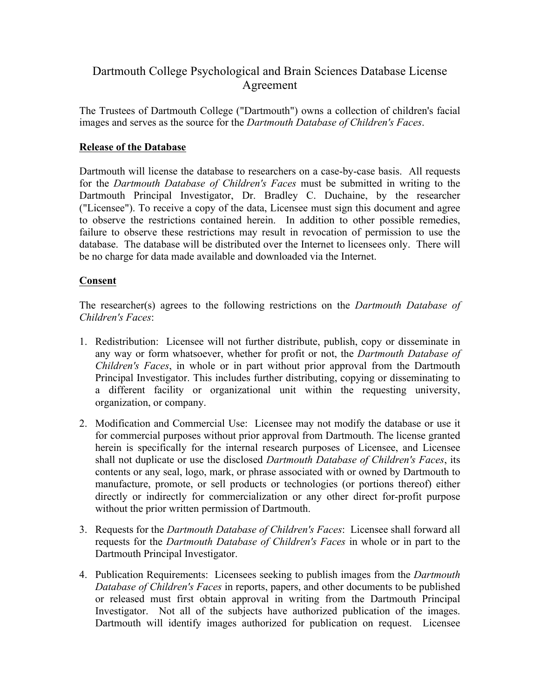## Dartmouth College Psychological and Brain Sciences Database License Agreement

The Trustees of Dartmouth College ("Dartmouth") owns a collection of children's facial images and serves as the source for the *Dartmouth Database of Children's Faces*.

## **Release of the Database**

Dartmouth will license the database to researchers on a case-by-case basis. All requests for the *Dartmouth Database of Children's Faces* must be submitted in writing to the Dartmouth Principal Investigator, Dr. Bradley C. Duchaine, by the researcher ("Licensee"). To receive a copy of the data, Licensee must sign this document and agree to observe the restrictions contained herein. In addition to other possible remedies, failure to observe these restrictions may result in revocation of permission to use the database. The database will be distributed over the Internet to licensees only. There will be no charge for data made available and downloaded via the Internet.

## **Consent**

The researcher(s) agrees to the following restrictions on the *Dartmouth Database of Children's Faces*:

- 1. Redistribution: Licensee will not further distribute, publish, copy or disseminate in any way or form whatsoever, whether for profit or not, the *Dartmouth Database of Children's Faces*, in whole or in part without prior approval from the Dartmouth Principal Investigator. This includes further distributing, copying or disseminating to a different facility or organizational unit within the requesting university, organization, or company.
- 2. Modification and Commercial Use: Licensee may not modify the database or use it for commercial purposes without prior approval from Dartmouth. The license granted herein is specifically for the internal research purposes of Licensee, and Licensee shall not duplicate or use the disclosed *Dartmouth Database of Children's Faces*, its contents or any seal, logo, mark, or phrase associated with or owned by Dartmouth to manufacture, promote, or sell products or technologies (or portions thereof) either directly or indirectly for commercialization or any other direct for-profit purpose without the prior written permission of Dartmouth.
- 3. Requests for the *Dartmouth Database of Children's Faces*: Licensee shall forward all requests for the *Dartmouth Database of Children's Faces* in whole or in part to the Dartmouth Principal Investigator.
- 4. Publication Requirements: Licensees seeking to publish images from the *Dartmouth Database of Children's Faces* in reports, papers, and other documents to be published or released must first obtain approval in writing from the Dartmouth Principal Investigator. Not all of the subjects have authorized publication of the images. Dartmouth will identify images authorized for publication on request. Licensee